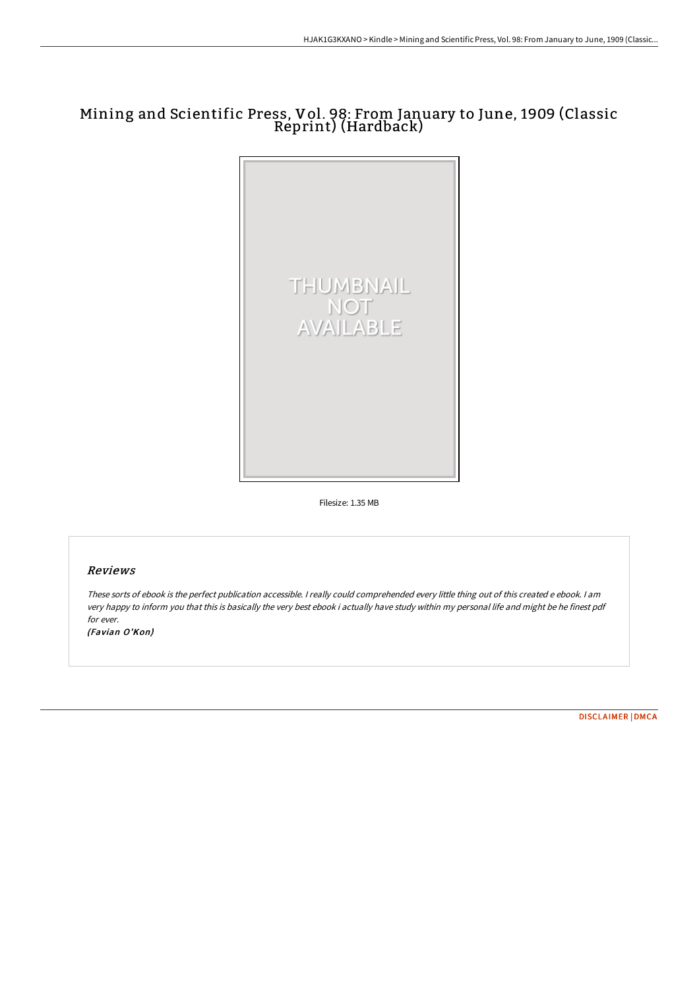# Mining and Scientific Press, Vol. 98: From January to June, 1909 (Classic Reprint) (Hardback)



Filesize: 1.35 MB

## Reviews

These sorts of ebook is the perfect publication accessible. <sup>I</sup> really could comprehended every little thing out of this created <sup>e</sup> ebook. <sup>I</sup> am very happy to inform you that this is basically the very best ebook i actually have study within my personal life and might be he finest pdf for ever. (Favian O'Kon)

[DISCLAIMER](http://albedo.media/disclaimer.html) | [DMCA](http://albedo.media/dmca.html)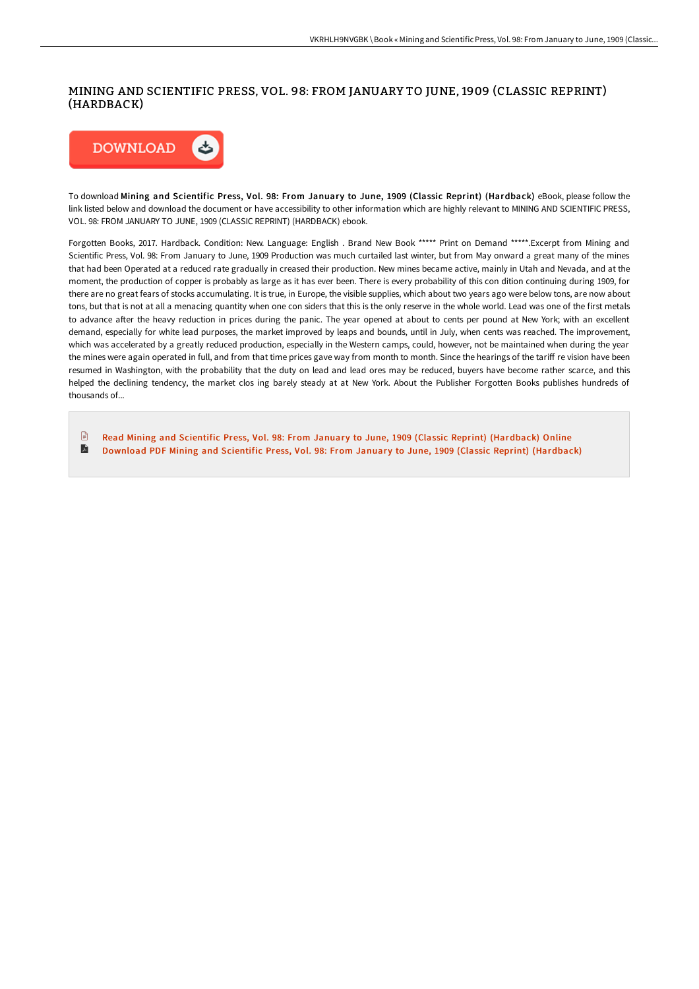## MINING AND SCIENTIFIC PRESS, VOL. 98: FROM JANUARY TO JUNE, 1909 (CLASSIC REPRINT) (HARDBACK)



To download Mining and Scientific Press, Vol. 98: From January to June, 1909 (Classic Reprint) (Hardback) eBook, please follow the link listed below and download the document or have accessibility to other information which are highly relevant to MINING AND SCIENTIFIC PRESS, VOL. 98: FROM JANUARY TO JUNE, 1909 (CLASSIC REPRINT) (HARDBACK) ebook.

Forgotten Books, 2017. Hardback. Condition: New. Language: English . Brand New Book \*\*\*\*\* Print on Demand \*\*\*\*\*.Excerpt from Mining and Scientific Press, Vol. 98: From January to June, 1909 Production was much curtailed last winter, but from May onward a great many of the mines that had been Operated at a reduced rate gradually in creased their production. New mines became active, mainly in Utah and Nevada, and at the moment, the production of copper is probably as large as it has ever been. There is every probability of this con dition continuing during 1909, for there are no great fears of stocks accumulating. It is true, in Europe, the visible supplies, which about two years ago were below tons, are now about tons, but that is not at all a menacing quantity when one con siders that this is the only reserve in the whole world. Lead was one of the first metals to advance after the heavy reduction in prices during the panic. The year opened at about to cents per pound at New York; with an excellent demand, especially for white lead purposes, the market improved by leaps and bounds, until in July, when cents was reached. The improvement, which was accelerated by a greatly reduced production, especially in the Western camps, could, however, not be maintained when during the year the mines were again operated in full, and from that time prices gave way from month to month. Since the hearings of the tariff re vision have been resumed in Washington, with the probability that the duty on lead and lead ores may be reduced, buyers have become rather scarce, and this helped the declining tendency, the market clos ing barely steady at at New York. About the Publisher Forgotten Books publishes hundreds of thousands of...

 $\mathbb{R}$ Read Mining and Scientific Press, Vol. 98: From January to June, 1909 (Classic Reprint) [\(Hardback\)](http://albedo.media/mining-and-scientific-press-vol-98-from-january--1.html) Online R Download PDF Mining and Scientific Press, Vol. 98: From January to June, 1909 (Classic Reprint) [\(Hardback\)](http://albedo.media/mining-and-scientific-press-vol-98-from-january--1.html)